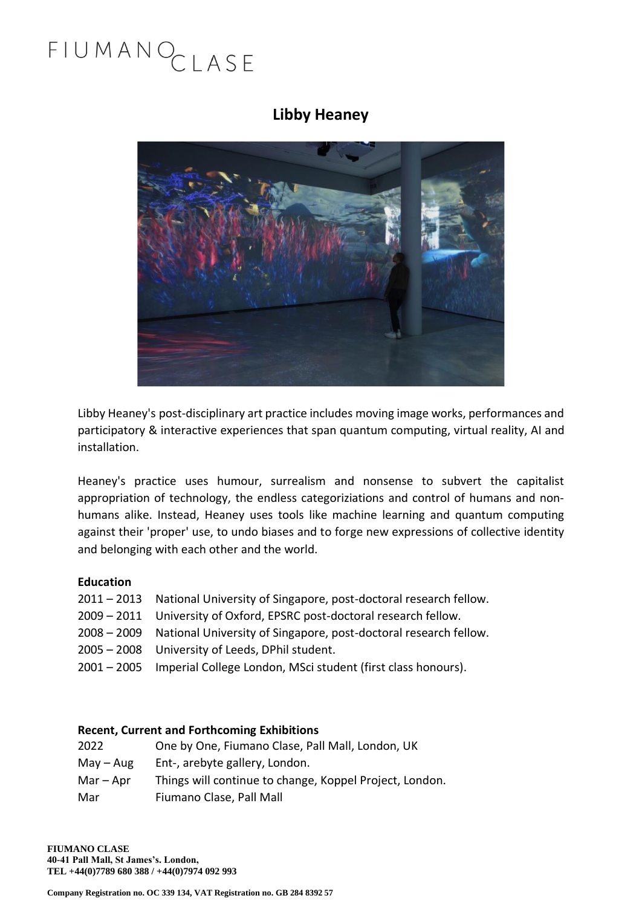#### **Libby Heaney**



Libby Heaney's post-disciplinary art practice includes moving image works, performances and participatory & interactive experiences that span quantum computing, virtual reality, AI and installation.

Heaney's practice uses humour, surrealism and nonsense to subvert the capitalist appropriation of technology, the endless categoriziations and control of humans and nonhumans alike. Instead, Heaney uses tools like machine learning and quantum computing against their 'proper' use, to undo biases and to forge new expressions of collective identity and belonging with each other and the world.

#### **Education**

- 2011 2013 National University of Singapore, post-doctoral research fellow.
- 2009 2011 University of Oxford, EPSRC post-doctoral research fellow.
- 2008 2009 National University of Singapore, post-doctoral research fellow.
- 2005 2008 University of Leeds, DPhil student.
- 2001 2005 Imperial College London, MSci student (first class honours).

#### **Recent, Current and Forthcoming Exhibitions**

| 2022        | One by One, Fiumano Clase, Pall Mall, London, UK        |
|-------------|---------------------------------------------------------|
| May – Aug   | Ent-, arebyte gallery, London.                          |
| $Mar - Apr$ | Things will continue to change, Koppel Project, London. |
| Mar         | Fiumano Clase, Pall Mall                                |

**FIUMANO CLASE 40-41 Pall Mall, St James's. London, TEL +44(0)7789 680 388 / +44(0)7974 092 993**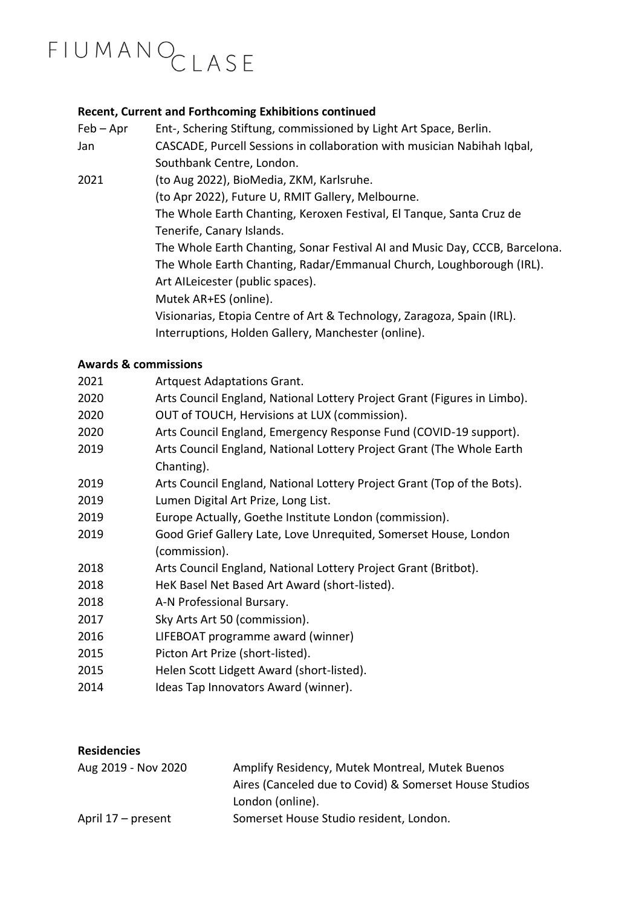#### **Recent, Current and Forthcoming Exhibitions continued**

| $Feb - Apr$ | Ent-, Schering Stiftung, commissioned by Light Art Space, Berlin.           |
|-------------|-----------------------------------------------------------------------------|
| Jan         | CASCADE, Purcell Sessions in collaboration with musician Nabihah Iqbal,     |
|             | Southbank Centre, London.                                                   |
| 2021        | (to Aug 2022), BioMedia, ZKM, Karlsruhe.                                    |
|             | (to Apr 2022), Future U, RMIT Gallery, Melbourne.                           |
|             | The Whole Earth Chanting, Keroxen Festival, El Tanque, Santa Cruz de        |
|             | Tenerife, Canary Islands.                                                   |
|             | The Whole Earth Chanting, Sonar Festival AI and Music Day, CCCB, Barcelona. |
|             | The Whole Earth Chanting, Radar/Emmanual Church, Loughborough (IRL).        |
|             | Art AlLeicester (public spaces).                                            |
|             | Mutek AR+ES (online).                                                       |
|             | Visionarias, Etopia Centre of Art & Technology, Zaragoza, Spain (IRL).      |
|             | Interruptions, Holden Gallery, Manchester (online).                         |

#### **Awards & commissions**

| 2021 | <b>Artquest Adaptations Grant.</b>                                       |
|------|--------------------------------------------------------------------------|
| 2020 | Arts Council England, National Lottery Project Grant (Figures in Limbo). |
| 2020 | OUT of TOUCH, Hervisions at LUX (commission).                            |
| 2020 | Arts Council England, Emergency Response Fund (COVID-19 support).        |
| 2019 | Arts Council England, National Lottery Project Grant (The Whole Earth    |
|      | Chanting).                                                               |
| 2019 | Arts Council England, National Lottery Project Grant (Top of the Bots).  |
| 2019 | Lumen Digital Art Prize, Long List.                                      |
| 2019 | Europe Actually, Goethe Institute London (commission).                   |
| 2019 | Good Grief Gallery Late, Love Unrequited, Somerset House, London         |
|      | (commission).                                                            |
| 2018 | Arts Council England, National Lottery Project Grant (Britbot).          |
| 2018 | HeK Basel Net Based Art Award (short-listed).                            |
| 2018 | A-N Professional Bursary.                                                |
| 2017 | Sky Arts Art 50 (commission).                                            |
| 2016 | LIFEBOAT programme award (winner)                                        |
| 2015 | Picton Art Prize (short-listed).                                         |
| 2015 | Helen Scott Lidgett Award (short-listed).                                |
| 2014 | Ideas Tap Innovators Award (winner).                                     |
|      |                                                                          |

#### **Residencies**

| Aug 2019 - Nov 2020 | Amplify Residency, Mutek Montreal, Mutek Buenos        |
|---------------------|--------------------------------------------------------|
|                     | Aires (Canceled due to Covid) & Somerset House Studios |
|                     | London (online).                                       |
| April 17 – present  | Somerset House Studio resident, London.                |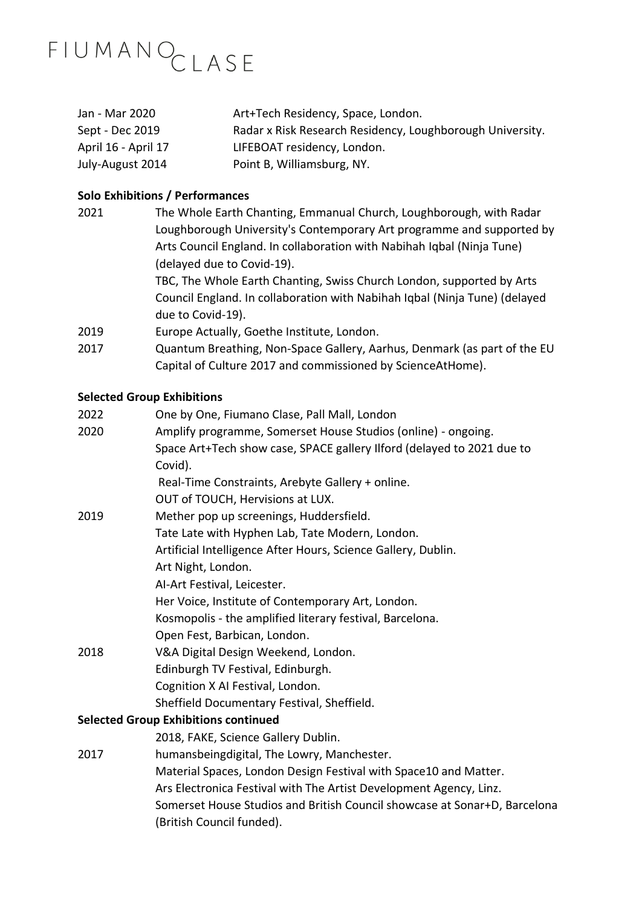| Jan - Mar 2020      | Art+Tech Residency, Space, London.                        |
|---------------------|-----------------------------------------------------------|
| Sept - Dec 2019     | Radar x Risk Research Residency, Loughborough University. |
| April 16 - April 17 | LIFEBOAT residency, London.                               |
| July-August 2014    | Point B, Williamsburg, NY.                                |

#### **Solo Exhibitions / Performances**

2021 The Whole Earth Chanting, Emmanual Church, Loughborough, with Radar Loughborough University's Contemporary Art programme and supported by Arts Council England. In collaboration with [Nabihah](https://nabihahiqbal.com/) Iqbal (Ninja Tune) (delayed due to Covid-19). TBC, The Whole Earth Chanting, Swiss Church London, supported by Arts

Council England. In collaboration with [Nabihah](https://nabihahiqbal.com/) Iqbal (Ninja Tune) (delayed due to Covid-19).

- 2019 Europe [Actually,](https://www.goethe.de/ins/gb/en/ver.cfm?fuseaction=events.detail&event_id=21492144) Goethe Institute, London.
- 2017 Quantum Breathing, Non-Space Gallery, Aarhus, Denmark (as part of the EU Capital of Culture 2017 and commissioned by ScienceAtHome).

#### **Selected Group Exhibitions**

| 2022                                        | One by One, Fiumano Clase, Pall Mall, London                              |  |
|---------------------------------------------|---------------------------------------------------------------------------|--|
| 2020                                        | Amplify programme, Somerset House Studios (online) - ongoing.             |  |
|                                             | Space Art+Tech show case, SPACE gallery Ilford (delayed to 2021 due to    |  |
|                                             | Covid).                                                                   |  |
|                                             | Real-Time Constraints, Arebyte Gallery + online.                          |  |
|                                             | OUT of TOUCH, Hervisions at LUX.                                          |  |
| 2019                                        | Mether pop up screenings, Huddersfield.                                   |  |
|                                             | Tate Late with Hyphen Lab, Tate Modern, London.                           |  |
|                                             | Artificial Intelligence After Hours, Science Gallery, Dublin.             |  |
|                                             | Art Night, London.                                                        |  |
|                                             | AI-Art Festival, Leicester.                                               |  |
|                                             | Her Voice, Institute of Contemporary Art, London.                         |  |
|                                             | Kosmopolis - the amplified literary festival, Barcelona.                  |  |
|                                             | Open Fest, Barbican, London.                                              |  |
| 2018                                        | V&A Digital Design Weekend, London.                                       |  |
|                                             | Edinburgh TV Festival, Edinburgh.                                         |  |
|                                             | Cognition X AI Festival, London.                                          |  |
|                                             | Sheffield Documentary Festival, Sheffield.                                |  |
| <b>Selected Group Exhibitions continued</b> |                                                                           |  |
|                                             | 2018, FAKE, Science Gallery Dublin.                                       |  |
| 2017                                        | humansbeingdigital, The Lowry, Manchester.                                |  |
|                                             | Material Spaces, London Design Festival with Space10 and Matter.          |  |
|                                             | Ars Electronica Festival with The Artist Development Agency, Linz.        |  |
|                                             | Somerset House Studios and British Council showcase at Sonar+D, Barcelona |  |
|                                             | (British Council funded).                                                 |  |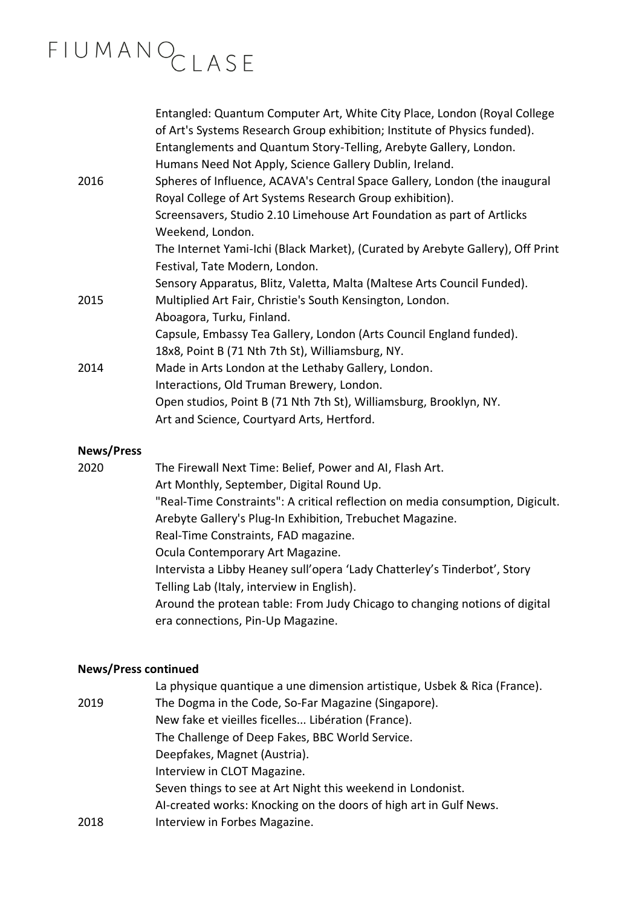|      | Entangled: Quantum Computer Art, White City Place, London (Royal College<br>of Art's Systems Research Group exhibition; Institute of Physics funded). |
|------|-------------------------------------------------------------------------------------------------------------------------------------------------------|
|      | Entanglements and Quantum Story-Telling, Arebyte Gallery, London.                                                                                     |
|      | Humans Need Not Apply, Science Gallery Dublin, Ireland.                                                                                               |
| 2016 | Spheres of Influence, ACAVA's Central Space Gallery, London (the inaugural                                                                            |
|      | Royal College of Art Systems Research Group exhibition).                                                                                              |
|      | Screensavers, Studio 2.10 Limehouse Art Foundation as part of Artlicks                                                                                |
|      | Weekend, London.                                                                                                                                      |
|      | The Internet Yami-Ichi (Black Market), (Curated by Arebyte Gallery), Off Print                                                                        |
|      | Festival, Tate Modern, London.                                                                                                                        |
|      | Sensory Apparatus, Blitz, Valetta, Malta (Maltese Arts Council Funded).                                                                               |
| 2015 | Multiplied Art Fair, Christie's South Kensington, London.                                                                                             |
|      | Aboagora, Turku, Finland.                                                                                                                             |
|      | Capsule, Embassy Tea Gallery, London (Arts Council England funded).                                                                                   |
|      | 18x8, Point B (71 Nth 7th St), Williamsburg, NY.                                                                                                      |
| 2014 | Made in Arts London at the Lethaby Gallery, London.                                                                                                   |
|      | Interactions, Old Truman Brewery, London.                                                                                                             |
|      | Open studios, Point B (71 Nth 7th St), Williamsburg, Brooklyn, NY.                                                                                    |
|      | Art and Science, Courtyard Arts, Hertford.                                                                                                            |
|      |                                                                                                                                                       |

#### **News/Press**

2020 The Firewall Next Time: Belief, Power and AI, Flash Art. Art Monthly, September, Digital Round Up. "Real-Time Constraints": A critical reflection on media [consumption,](http://digicult.it/art/real-time-constraints-a-critical-reflection-on-media-consume/) Digicult. Arebyte Gallery's Plug-In [Exhibition,](https://www.trebuchet-magazine.com/arebyte-gallery-real-time-constraints/) Trebuchet Magazine. Real-Time Constraints, FAD magazine. Ocula Contemporary Art Magazine. Intervista a Libby Heaney sull'opera 'Lady [Chatterley's](http://www.storytellinglab.org/incontri/intervista-a-libby-heaney-sullopera-lady-chatterleys-tinderbot/) Tinderbot', Story Telling Lab (Italy, interview in English). Around the protean table: From Judy Chicago to [changing](https://www.pinupmagazine.org/articles/essay-around-the-table-humanity-shared-space?fbclid=IwAR14qdODz7zivQhw0fY0AubIqNVzrXCqxpO1VlFAmnHai3Y4hrdlQW1ZXxc) notions of digital era [connections,](https://www.pinupmagazine.org/articles/essay-around-the-table-humanity-shared-space?fbclid=IwAR14qdODz7zivQhw0fY0AubIqNVzrXCqxpO1VlFAmnHai3Y4hrdlQW1ZXxc) Pin-Up Magazine.

#### **News/Press continued**

|      | La physique quantique a une dimension artistique, Usbek & Rica (France). |
|------|--------------------------------------------------------------------------|
| 2019 | The Dogma in the Code, So-Far Magazine (Singapore).                      |
|      | New fake et vieilles ficelles Libération (France).                       |
|      | The Challenge of Deep Fakes, BBC World Service.                          |
|      | Deepfakes, Magnet (Austria).                                             |
|      | Interview in CLOT Magazine.                                              |
|      | Seven things to see at Art Night this weekend in Londonist.              |
|      | AI-created works: Knocking on the doors of high art in Gulf News.        |
| 2018 | Interview in Forbes Magazine.                                            |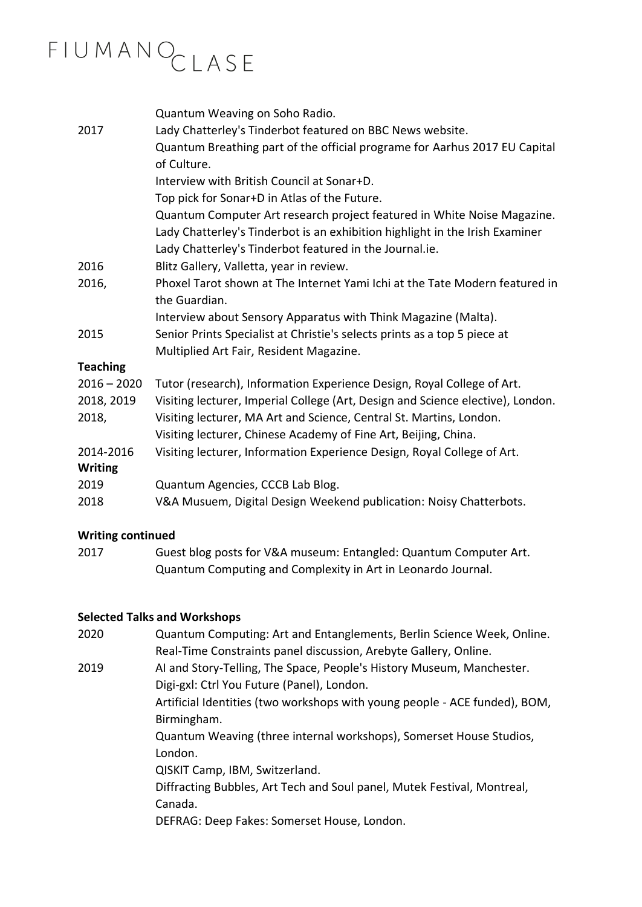|                 | Quantum Weaving on Soho Radio.                                                            |
|-----------------|-------------------------------------------------------------------------------------------|
| 2017            | Lady Chatterley's Tinderbot featured on BBC News website.                                 |
|                 | Quantum Breathing part of the official programe for Aarhus 2017 EU Capital<br>of Culture. |
|                 | Interview with British Council at Sonar+D.                                                |
|                 | Top pick for Sonar+D in Atlas of the Future.                                              |
|                 | Quantum Computer Art research project featured in White Noise Magazine.                   |
|                 | Lady Chatterley's Tinderbot is an exhibition highlight in the Irish Examiner              |
|                 | Lady Chatterley's Tinderbot featured in the Journal.ie.                                   |
| 2016            | Blitz Gallery, Valletta, year in review.                                                  |
| 2016,           | Phoxel Tarot shown at The Internet Yami Ichi at the Tate Modern featured in               |
|                 | the Guardian.                                                                             |
|                 | Interview about Sensory Apparatus with Think Magazine (Malta).                            |
| 2015            | Senior Prints Specialist at Christie's selects prints as a top 5 piece at                 |
|                 | Multiplied Art Fair, Resident Magazine.                                                   |
| <b>Teaching</b> |                                                                                           |
| $2016 - 2020$   | Tutor (research), Information Experience Design, Royal College of Art.                    |
| 2018, 2019      | Visiting lecturer, Imperial College (Art, Design and Science elective), London.           |
| 2018,           | Visiting lecturer, MA Art and Science, Central St. Martins, London.                       |
|                 | Visiting lecturer, Chinese Academy of Fine Art, Beijing, China.                           |
| 2014-2016       | Visiting lecturer, Information Experience Design, Royal College of Art.                   |
| <b>Writing</b>  |                                                                                           |
| 2019            | Quantum Agencies, CCCB Lab Blog.                                                          |
| 2018            | V&A Musuem, Digital Design Weekend publication: Noisy Chatterbots.                        |

#### **Writing continued**

| 2017 | Guest blog posts for V&A museum: Entangled: Quantum Computer Art. |
|------|-------------------------------------------------------------------|
|      | Quantum Computing and Complexity in Art in Leonardo Journal.      |

#### **Selected Talks and Workshops**

| 2020 | Quantum Computing: Art and Entanglements, Berlin Science Week, Online.     |
|------|----------------------------------------------------------------------------|
|      | Real-Time Constraints panel discussion, Arebyte Gallery, Online.           |
| 2019 | AI and Story-Telling, The Space, People's History Museum, Manchester.      |
|      | Digi-gxl: Ctrl You Future (Panel), London.                                 |
|      | Artificial Identities (two workshops with young people - ACE funded), BOM, |
|      | Birmingham.                                                                |
|      | Quantum Weaving (three internal workshops), Somerset House Studios,        |
|      | London.                                                                    |
|      | QISKIT Camp, IBM, Switzerland.                                             |
|      | Diffracting Bubbles, Art Tech and Soul panel, Mutek Festival, Montreal,    |
|      | Canada.                                                                    |
|      | DEFRAG: Deep Fakes: Somerset House, London.                                |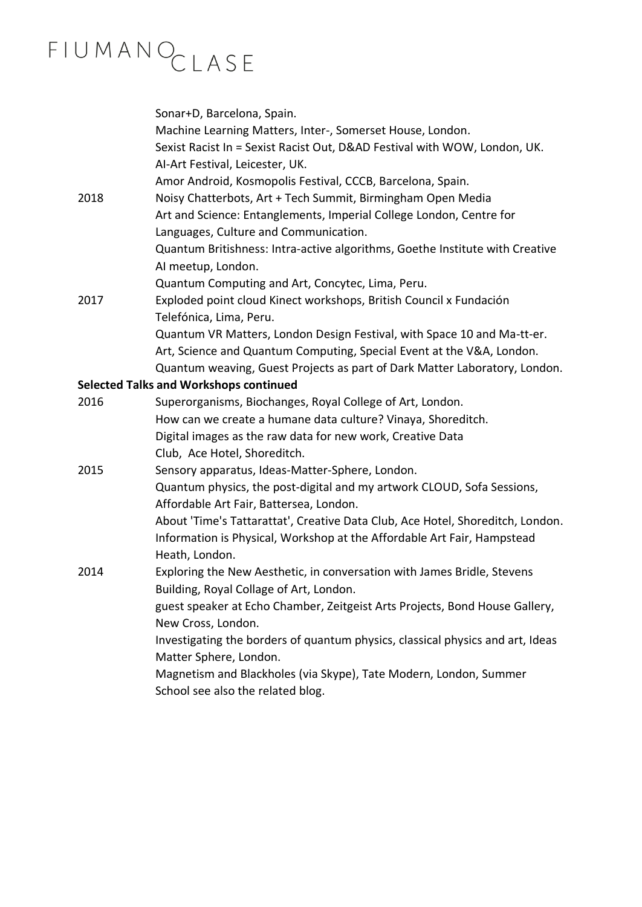|                                               | Sonar+D, Barcelona, Spain.<br>Machine Learning Matters, Inter-, Somerset House, London.<br>Sexist Racist In = Sexist Racist Out, D&AD Festival with WOW, London, UK. |  |
|-----------------------------------------------|----------------------------------------------------------------------------------------------------------------------------------------------------------------------|--|
|                                               | AI-Art Festival, Leicester, UK.                                                                                                                                      |  |
|                                               | Amor Android, Kosmopolis Festival, CCCB, Barcelona, Spain.                                                                                                           |  |
| 2018                                          | Noisy Chatterbots, Art + Tech Summit, Birmingham Open Media                                                                                                          |  |
|                                               | Art and Science: Entanglements, Imperial College London, Centre for                                                                                                  |  |
|                                               | Languages, Culture and Communication.                                                                                                                                |  |
|                                               | Quantum Britishness: Intra-active algorithms, Goethe Institute with Creative                                                                                         |  |
|                                               | Al meetup, London.                                                                                                                                                   |  |
|                                               | Quantum Computing and Art, Concytec, Lima, Peru.                                                                                                                     |  |
| 2017                                          | Exploded point cloud Kinect workshops, British Council x Fundación                                                                                                   |  |
|                                               | Telefónica, Lima, Peru.                                                                                                                                              |  |
|                                               | Quantum VR Matters, London Design Festival, with Space 10 and Ma-tt-er.                                                                                              |  |
|                                               | Art, Science and Quantum Computing, Special Event at the V&A, London.                                                                                                |  |
|                                               | Quantum weaving, Guest Projects as part of Dark Matter Laboratory, London.                                                                                           |  |
| <b>Selected Talks and Workshops continued</b> |                                                                                                                                                                      |  |
| 2016                                          | Superorganisms, Biochanges, Royal College of Art, London.                                                                                                            |  |
|                                               | How can we create a humane data culture? Vinaya, Shoreditch.                                                                                                         |  |
|                                               | Digital images as the raw data for new work, Creative Data                                                                                                           |  |
|                                               | Club, Ace Hotel, Shoreditch.                                                                                                                                         |  |
| 2015                                          | Sensory apparatus, Ideas-Matter-Sphere, London.                                                                                                                      |  |
|                                               | Quantum physics, the post-digital and my artwork CLOUD, Sofa Sessions,                                                                                               |  |
|                                               | Affordable Art Fair, Battersea, London.                                                                                                                              |  |
|                                               | About 'Time's Tattarattat', Creative Data Club, Ace Hotel, Shoreditch, London.                                                                                       |  |
|                                               | Information is Physical, Workshop at the Affordable Art Fair, Hampstead                                                                                              |  |
| 2014                                          | Heath, London.                                                                                                                                                       |  |
|                                               | Exploring the New Aesthetic, in conversation with James Bridle, Stevens<br>Building, Royal Collage of Art, London.                                                   |  |
|                                               | guest speaker at Echo Chamber, Zeitgeist Arts Projects, Bond House Gallery,                                                                                          |  |
|                                               | New Cross, London.                                                                                                                                                   |  |
|                                               | Investigating the borders of quantum physics, classical physics and art, Ideas                                                                                       |  |
|                                               | Matter Sphere, London.                                                                                                                                               |  |
|                                               | Magnetism and Blackholes (via Skype), Tate Modern, London, Summer                                                                                                    |  |
|                                               | School see also the related blog.                                                                                                                                    |  |